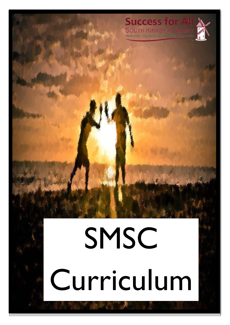

## Curriculum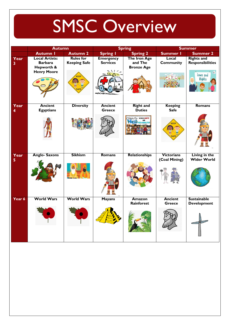## SMSC Overview

|                                 | <b>Autumn</b>                                                               |                                         |                                                     | <b>Spring</b>                                       | <b>Summer</b>             |                                                                            |  |
|---------------------------------|-----------------------------------------------------------------------------|-----------------------------------------|-----------------------------------------------------|-----------------------------------------------------|---------------------------|----------------------------------------------------------------------------|--|
|                                 | <b>Autumn I</b>                                                             | <b>Autumn 2</b>                         | <b>Spring I</b>                                     | <b>Spring 2</b>                                     | Summer I                  | <b>Summer 2</b>                                                            |  |
| Year<br>$\overline{\mathbf{3}}$ | <b>Local Artists:</b><br><b>Barbara</b><br>Hepworth &<br><b>Henry Moore</b> | <b>Rules for</b><br><b>Keeping Safe</b> | <b>Emergency</b><br><b>Services</b><br>$\sqrt{1/2}$ | <b>The Iron Age</b><br>and The<br><b>Bronze Age</b> | Local<br><b>Community</b> | <b>Rights and</b><br><b>Responsibilities</b><br>den.<br>Laws and<br>Rights |  |
| Year                            | <b>Ancient</b>                                                              | <b>Diversity</b>                        | <b>Ancient</b>                                      | <b>Right and</b>                                    | <b>Keeping</b>            | <b>Romans</b>                                                              |  |
| 4                               | <b>Egyptians</b>                                                            |                                         | <b>Greece</b>                                       | <b>Duties</b>                                       | <b>Safe</b>               |                                                                            |  |
|                                 |                                                                             |                                         |                                                     | N of The WEHAVERIGHTS                               |                           |                                                                            |  |
| Year                            | <b>Anglo-Saxons</b>                                                         | <b>Sikhism</b>                          | <b>Romans</b>                                       | <b>Relationships</b>                                | <b>Victorians</b>         | Living in the                                                              |  |
| 5                               |                                                                             |                                         |                                                     |                                                     | (Coal Mining)             | <b>Wider World</b>                                                         |  |
| Year 6                          | <b>World Wars</b>                                                           | <b>World Wars</b>                       | <b>Mayans</b>                                       | <b>Amazon</b><br>Rainforest                         | <b>Ancient</b>            | <b>Sustainable</b>                                                         |  |
|                                 |                                                                             |                                         |                                                     |                                                     | <b>Greece</b>             | <b>Development</b>                                                         |  |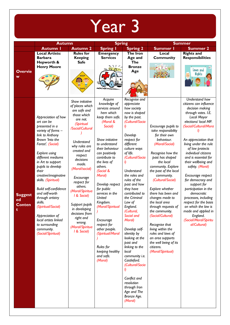## Year 3

|                                            | <b>Autumn</b>                                                                                                                                                                                                                                                                                                                                                                                                                                                                 |                                                                                                                                                                                                                                                                                                                                                                                                         | <b>Spring</b>                                                                                                                                                                                                                                                                                                                                                                                                                                                               |                                                                                                                                                                                                                                                                                                                                                                                                                                                                                                                                                                                                            | <b>Summer</b>                                                                                                                                                                                                                                                                                                                                                                                                                                                                                                             |                                                                                                                                                                                                                                                                                                                                                                                                                                                                                                                                                                                  |  |
|--------------------------------------------|-------------------------------------------------------------------------------------------------------------------------------------------------------------------------------------------------------------------------------------------------------------------------------------------------------------------------------------------------------------------------------------------------------------------------------------------------------------------------------|---------------------------------------------------------------------------------------------------------------------------------------------------------------------------------------------------------------------------------------------------------------------------------------------------------------------------------------------------------------------------------------------------------|-----------------------------------------------------------------------------------------------------------------------------------------------------------------------------------------------------------------------------------------------------------------------------------------------------------------------------------------------------------------------------------------------------------------------------------------------------------------------------|------------------------------------------------------------------------------------------------------------------------------------------------------------------------------------------------------------------------------------------------------------------------------------------------------------------------------------------------------------------------------------------------------------------------------------------------------------------------------------------------------------------------------------------------------------------------------------------------------------|---------------------------------------------------------------------------------------------------------------------------------------------------------------------------------------------------------------------------------------------------------------------------------------------------------------------------------------------------------------------------------------------------------------------------------------------------------------------------------------------------------------------------|----------------------------------------------------------------------------------------------------------------------------------------------------------------------------------------------------------------------------------------------------------------------------------------------------------------------------------------------------------------------------------------------------------------------------------------------------------------------------------------------------------------------------------------------------------------------------------|--|
|                                            | <b>Autumn I</b>                                                                                                                                                                                                                                                                                                                                                                                                                                                               | <b>Autumn 2</b>                                                                                                                                                                                                                                                                                                                                                                                         | <b>Spring I</b>                                                                                                                                                                                                                                                                                                                                                                                                                                                             | <b>Spring 2</b>                                                                                                                                                                                                                                                                                                                                                                                                                                                                                                                                                                                            | <b>Summer I</b>                                                                                                                                                                                                                                                                                                                                                                                                                                                                                                           | Summer 2                                                                                                                                                                                                                                                                                                                                                                                                                                                                                                                                                                         |  |
| <b>Overvie</b><br>w                        | <b>Local Artists:</b><br><b>Barbara</b><br>Hepworth &<br><b>Henry Moore</b>                                                                                                                                                                                                                                                                                                                                                                                                   | <b>Rules for</b><br><b>Keeping</b><br><b>Safe</b><br><b>KEE</b>                                                                                                                                                                                                                                                                                                                                         | <b>Emergency</b><br><b>Services</b>                                                                                                                                                                                                                                                                                                                                                                                                                                         | <b>The Iron</b><br>Age and<br>The<br><b>Bronze</b><br>Age                                                                                                                                                                                                                                                                                                                                                                                                                                                                                                                                                  | Local<br><b>Community</b>                                                                                                                                                                                                                                                                                                                                                                                                                                                                                                 | <b>Rights and</b><br><b>Responsibilities</b><br>$-1503$<br>Laws and<br>Rights                                                                                                                                                                                                                                                                                                                                                                                                                                                                                                    |  |
| <b>Suggest</b><br>ed<br><b>Conten</b><br>t | Appreciation of how<br>art can be<br>presented in a<br>variety of forms -<br>link to Anthony<br>Brown 'Into the<br>Forest'. (Social)<br>Explore using<br>different mediums<br>in Art to support<br>pupils to develop<br>their<br>creative/imaginative<br>skills. (Spiritual)<br>Build self-confidence<br>and self-worth<br>through artistry<br>skills.<br>(Spiritual/Social)<br>Appreciation of<br>local artists linked<br>to surrounding<br>community.<br>(Social/Spiritual) | Show initiative<br>of places which<br>are safe and<br>those which<br>are not.<br>(Spiritual<br>/Social/Cultural<br>Understand<br>why rules are<br>created and<br>respect<br>decisions<br>made.<br>(Moral/social)<br>Encourage<br>respect for<br>others.<br>(Moral/Spiritua<br>I & Social)<br>Support pupils<br>in developing<br>decisions from<br>right and<br>wrong.<br>(Moral/Spiritua<br>I & Social) | Acquire<br>knowledge of<br>services around<br>hem which<br>keep them safe.<br>(Moral &<br>Social)<br>Show initiative<br>to understand<br>their behaviour<br>can positively<br>contribute to<br>the lives of<br>others.<br>(Social &<br>Moral)<br>Develop respect<br>for public<br>services in the<br><b>United</b><br>Kingdom.<br>(Moral/Spiritual<br>Encourage<br>respect for<br>other people.<br>(Spiritual/Moral<br>Rules for<br>keeping healthy<br>and safe.<br>(Moral) | Recognise and<br>appreciate<br>how society<br>now is shaped<br>by the past.<br>(Cultural/Socia<br>Develop<br>respect for<br>different<br>culture ways<br>of life.<br>(Cultural/Socia<br>Understand<br>the roles and<br>rules of the<br>past and how<br>they have<br>contributed to<br>the Criminal<br>Law of<br>England.<br>(Cultural,<br>Social and<br><b>Moral</b> )<br>Develop self-<br>identity by<br>looking at the<br>past and<br>linking to the<br>local<br>community i.e.<br>Castleford.<br>(Cultural/Socia<br>Conflict and<br>resolution<br>through Iron<br>Age and The<br>Bronze Age.<br>(Moral) | Encourage pupils to<br>take responsibility<br>for their own<br>behaviour.<br>(Moral/Social)<br>Recognise how the<br>past has shaped<br>the local<br>community. Explore<br>the past of the local<br>community.<br>(Cultural/Social)<br>Explore whether<br>there has been and<br>changes made to<br>the local area<br>through requests of<br>the community.<br>(Social/Cultural)<br>Recognise that<br>living within the<br>rules and laws of<br>an area supports<br>the well being of its<br>citizens.<br>(Moral/Spiritual) | <b>Understand how</b><br>citizens can influence<br>decision making<br>through votes. I.E.<br><b>Local Mayor</b><br>elections/ local MP.<br>(Social/Cultural/Mora<br>An appreciation that<br>living under the rule<br>of law protects<br>individual citizens<br>and is essential for<br>their wellbeing and<br>safety. (Moral)<br>Encourage respect<br>for democracy and<br>support for<br>participation in the<br>democratic<br>processes, including<br>respect for the basis<br>on which the law is<br>made and applied in<br>England.<br>(Social/Moral/Spiritu<br>al/Cultural) |  |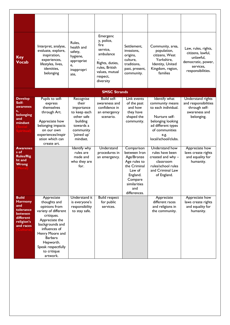| <b>Key</b><br><b>Vocab</b>                                                                            | Interpret, analyse,<br>evaluate, explore,<br>inspiration,<br>experiences,<br>lifestyles, lives,<br>identities.<br>belonging                                                                                                                | Rules,<br>health and<br>safety,<br>hygiene,<br>appropriat<br>e,<br>inappropri<br>ate,                                           | Emergenc<br>y, police,<br>fire<br>service,<br>ambulance<br>Rights, duties,<br>rules, British<br>values, mutual<br>respect,<br>diversity | Settlement,<br>invasions,<br>origins,<br>culture.<br>traditions,<br>past, present,<br>community.                                                 | Community, area,<br>population,<br>citizens, West<br>Yorkshire,<br>Identity, United<br>Kingdom, region,<br>families                                                  | Law, rules, rights,<br>citizens, lawful,<br>unlawful,<br>democratic, power,<br>services,<br>responsibilities. |
|-------------------------------------------------------------------------------------------------------|--------------------------------------------------------------------------------------------------------------------------------------------------------------------------------------------------------------------------------------------|---------------------------------------------------------------------------------------------------------------------------------|-----------------------------------------------------------------------------------------------------------------------------------------|--------------------------------------------------------------------------------------------------------------------------------------------------|----------------------------------------------------------------------------------------------------------------------------------------------------------------------|---------------------------------------------------------------------------------------------------------------|
|                                                                                                       |                                                                                                                                                                                                                                            |                                                                                                                                 | <b>SMSC Strands</b>                                                                                                                     |                                                                                                                                                  |                                                                                                                                                                      |                                                                                                               |
| <b>Develop</b><br>Self-<br>awarenes<br>s,<br>belonging<br>and<br>mindset<br>ipiritual                 | Pupils to self-<br>express<br>themselves<br>through Art.<br>Appreciate how<br>belonging impacts<br>on our own<br>experiences/inspir<br>ation which can<br>create art.                                                                      | Recognise<br>their<br>importance<br>to keep each<br>other safe<br>building<br>towards a<br>community<br>'joined up'<br>mindset. | Build self-<br>awareness and<br>confidence in<br>an emergency<br>scenario.                                                              | Link events<br>of the past<br>and how<br>they have<br>shaped the<br>community.                                                                   | Identify what<br>community means<br>to each individual.<br>Nurture self-<br>belonging looking<br>ad different types<br>of communities<br>e.g.<br>local/school/clubs. | Understand rights<br>and responsibilities<br>through self-<br>awareness and<br>belonging.                     |
| <b>Awarenes</b><br>s of<br><b>Rules/Rig</b><br>ht and<br><b>Wrong</b>                                 |                                                                                                                                                                                                                                            | Identify why<br>rules are<br>made and<br>who they are<br>for.                                                                   | <b>Understand</b><br>procedures in<br>an emergency.                                                                                     | Comparison<br>between Iron<br>Age/Bronze<br>Age rules to<br>the Criminal<br>Law of<br>England.<br>Compare<br>similarities<br>and<br>differences. | <b>Understand how</b><br>rules have been<br>created and why -<br>classroom<br>rules/school rules<br>and Criminal Law<br>of England.                                  | Appreciate how<br>laws create rights<br>and equality for<br>humanity.                                         |
| <b>Build</b><br><b>Harmony</b><br>and<br>tolerance<br>between<br>different<br>religion's<br>and races | Appreciate<br>thoughts and<br>opinions from<br>variety of different<br>critiques.<br>Appreciate the<br>backgrounds and<br>influences of<br>Henry Moore and<br><b>Barbara</b><br>Hepworth.<br>Speak respectfully<br>to critique<br>artwork. | Understand it<br>is everyone's<br>responsibility<br>to stay safe.                                                               | <b>Build respect</b><br>for public<br>services.                                                                                         |                                                                                                                                                  | Appreciate<br>different races<br>and religions in<br>the community.                                                                                                  | Appreciate how<br>laws create rights<br>and equality for<br>humanity.                                         |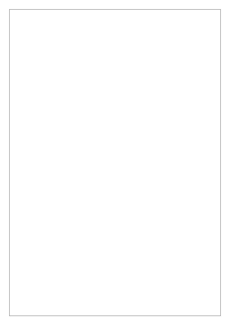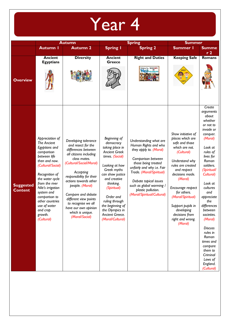## Year 4

|                                    | <b>Autumn</b>                                                                                                                                                                                                                                                                                          |                                                                                                                                                                                                                                                                                                                                                                 |                                                                                                                                                                                                                                                                                                       | <b>Spring</b>                                                                                                                                                                                                                                                                            | <b>Summer</b>                                                                                                                                                                                                                                                                                                             |                                                                                                                                                                                                                                                                                                                                                                                                                 |
|------------------------------------|--------------------------------------------------------------------------------------------------------------------------------------------------------------------------------------------------------------------------------------------------------------------------------------------------------|-----------------------------------------------------------------------------------------------------------------------------------------------------------------------------------------------------------------------------------------------------------------------------------------------------------------------------------------------------------------|-------------------------------------------------------------------------------------------------------------------------------------------------------------------------------------------------------------------------------------------------------------------------------------------------------|------------------------------------------------------------------------------------------------------------------------------------------------------------------------------------------------------------------------------------------------------------------------------------------|---------------------------------------------------------------------------------------------------------------------------------------------------------------------------------------------------------------------------------------------------------------------------------------------------------------------------|-----------------------------------------------------------------------------------------------------------------------------------------------------------------------------------------------------------------------------------------------------------------------------------------------------------------------------------------------------------------------------------------------------------------|
|                                    | <b>Autumn I</b>                                                                                                                                                                                                                                                                                        | <b>Autumn 2</b>                                                                                                                                                                                                                                                                                                                                                 | <b>Spring I</b>                                                                                                                                                                                                                                                                                       | <b>Spring 2</b>                                                                                                                                                                                                                                                                          | <b>Summer I</b>                                                                                                                                                                                                                                                                                                           | <b>Summe</b>                                                                                                                                                                                                                                                                                                                                                                                                    |
|                                    |                                                                                                                                                                                                                                                                                                        |                                                                                                                                                                                                                                                                                                                                                                 |                                                                                                                                                                                                                                                                                                       |                                                                                                                                                                                                                                                                                          |                                                                                                                                                                                                                                                                                                                           | r <sub>2</sub>                                                                                                                                                                                                                                                                                                                                                                                                  |
|                                    | <b>Ancient</b><br><b>Egyptians</b>                                                                                                                                                                                                                                                                     | <b>Diversity</b>                                                                                                                                                                                                                                                                                                                                                | <b>Ancient</b><br>Greece                                                                                                                                                                                                                                                                              | <b>Right and Duties</b><br>WE HAVE RIG                                                                                                                                                                                                                                                   | <b>Keeping Safe</b>                                                                                                                                                                                                                                                                                                       | <b>Romans</b>                                                                                                                                                                                                                                                                                                                                                                                                   |
| <b>Overview</b>                    |                                                                                                                                                                                                                                                                                                        |                                                                                                                                                                                                                                                                                                                                                                 |                                                                                                                                                                                                                                                                                                       |                                                                                                                                                                                                                                                                                          |                                                                                                                                                                                                                                                                                                                           |                                                                                                                                                                                                                                                                                                                                                                                                                 |
| <b>Suggested</b><br><b>Content</b> | Appreciation of<br>The Ancient<br>Egyptians and<br>comparison<br>between life<br>then and now.<br>(Cultural/Social)<br>Recognition of<br>the water cycle<br>from the river<br>Nile's irrigation<br>system and<br>comparison to<br>other countries<br>use of water<br>and crop<br>growth.<br>(Cultural) | Developing tolerance<br>and resect for the<br>differences between<br>all citizens including<br>class mates.<br>(Cultural/Social/Moral)<br>Accepting<br>responsibility for their<br>actions towards other<br>people. (Moral)<br>Compare and debate<br>different view points<br>to recognise we all<br>have our own opinion<br>which is unique.<br>(Moral/Social) | Beginning of<br>democracy<br>taking place in<br><b>Ancient Greek</b><br>times. (Social)<br>Looking at how<br>Greek myths<br>can show justice<br>and creative<br>thinking.<br>(Spiritual)<br>Order and<br>ruling through<br>the beginning of<br>the Olympics in<br>Ancient Greece.<br>(Moral/Cultural) | Understanding what are<br>Human Rights and who<br>they apply to. (Moral)<br>Comparison between<br>those being treated<br>unfairly and why i.e. Fair<br>Trade. (Moral/Spiritual)<br>Debate topical issues<br>such as global warming /<br>plastic pollution.<br>(Moral/Spiritual/Cultural) | Show initiative of<br>places which are<br>safe and those<br>which are not.<br>(Cultural)<br>Understand why<br>rules are created<br>and respect<br>decisions made.<br>(Moral)<br>Encourage respect<br>for others.<br>(Moral/Spiritual)<br>Support pupils in<br>developing<br>decisions from<br>right and wrong.<br>(Moral) | Create<br>arguments<br>about<br>whether<br>or not to<br>invade or<br>conquer.<br>(Moral)<br>Look at<br>rules of<br>lives for<br>Roman<br>soldiers.<br>(Spiritual/<br>Cultural)<br>Look at<br>cultures<br>and<br>appreciate<br>the<br>differences<br>between<br>societies.<br>(Moral)<br><b>Discuss</b><br>rules in<br>Roman<br>times and<br>compare<br>them to<br>Criminal<br>Laws of<br>England.<br>(Cultural) |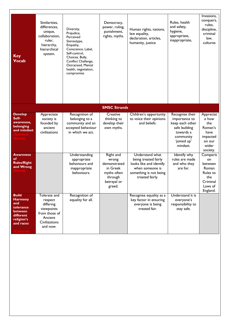| <b>Key</b><br><b>Vocab</b>                                                                            | Similarities,<br>differences,<br>unique,<br>collaboration.<br>ruler.<br>hierarchy,<br>hierarchical<br>system.      | Diversity,<br>Prejudice,<br>Perceived<br>Stereotype,<br>Empathy,<br>Conscience, Label,<br>Self-control,<br>Choices, Bully,<br>Conflict Challenge,<br>Ostracised, Mental<br>health, negotiation,<br>compromise | Democracy,<br>power, ruling,<br>punishment,<br>rights, myths.                                            | Human rights, nations,<br>law equality,<br>declaration, articles,<br>humanity, justice                                             | Rules, health<br>and safety,<br>hygiene,<br>appropriate,<br>inappropriate,                                                | Invasions,<br>conquers,<br>rules.<br>discipline,<br>criminal<br>law,<br>cultures         |
|-------------------------------------------------------------------------------------------------------|--------------------------------------------------------------------------------------------------------------------|---------------------------------------------------------------------------------------------------------------------------------------------------------------------------------------------------------------|----------------------------------------------------------------------------------------------------------|------------------------------------------------------------------------------------------------------------------------------------|---------------------------------------------------------------------------------------------------------------------------|------------------------------------------------------------------------------------------|
|                                                                                                       |                                                                                                                    |                                                                                                                                                                                                               | <b>SMSC Strands</b>                                                                                      |                                                                                                                                    |                                                                                                                           |                                                                                          |
| <b>Develop</b><br>Self-<br>awareness,<br>belonging<br>and mindset<br><b>SOCIAL</b>                    | Appreciate<br>society is<br>founded by<br>ancient<br>civilisations                                                 | Recognition of<br>belonging to a<br>community and an<br>accepted behaviour<br>in which we act.                                                                                                                | Creative<br>thinking to<br>develop their<br>own myths.                                                   | Children's opportunity<br>to voice their opinions<br>and beliefs.                                                                  | Recognise their<br>importance to<br>keep each other<br>safe building<br>towards a<br>community<br>'joined up'<br>mindset. | Appreciat<br>e how<br>the<br>Roman's<br>have<br>impacted<br>on our<br>wider<br>society.  |
| <b>Awareness</b><br>of<br><b>Rules/Right</b><br>and Wrong                                             |                                                                                                                    | Understanding<br>appropriate<br>behaviours and<br>inappropriate<br>behaviours.                                                                                                                                | <b>Right and</b><br>wrong<br>demonstrated<br>in Greek<br>myths often<br>through<br>betrayal or<br>greed. | Understand what<br>being treated fairly<br>looks like and identify<br>when someone is<br>something is not being<br>treated fairly. | <b>Identify why</b><br>rules are made<br>and who they<br>are for.                                                         | Comparis<br>on<br>between<br>Roman<br>Rules to<br>the<br>Criminal<br>Laws of<br>England. |
| <b>Build</b><br><b>Harmony</b><br>and<br>tolerance<br>between<br>different<br>religion's<br>and races | Tolerate and<br>respect<br>differing<br>viewpoints<br>from those of<br>Ancient<br><b>Civilizations</b><br>and now. | Recognition of<br>equality for all.                                                                                                                                                                           |                                                                                                          | Recognise equality as a<br>key factor in ensuring<br>everyone is being<br>treated fair.                                            | Understand it is<br>everyone's<br>responsibility to<br>stay safe.                                                         |                                                                                          |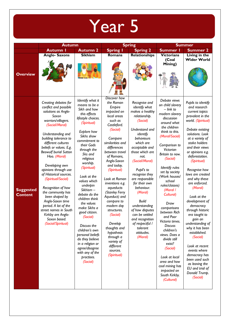| Year 5                             |                                                                                                                                                                                                                                                                                                                                                                                                                                                                                                                                                              |                                                                                                                                                                                                                                                                                                                                                                                                                                                                                                                                                              |                                                                                                                                                                                                                                                                                                                                                                                                                                                                          |                                                                                                                                                                                                                                                                                                                                                                                                                                                      |                                                                                                                                                                                                                                                                                                                                                                                                                                                                                                                                                                                          |                                                                                                                                                                                                                                                                                                                                                                                                                                                                                                                                                                                                                                            |  |
|------------------------------------|--------------------------------------------------------------------------------------------------------------------------------------------------------------------------------------------------------------------------------------------------------------------------------------------------------------------------------------------------------------------------------------------------------------------------------------------------------------------------------------------------------------------------------------------------------------|--------------------------------------------------------------------------------------------------------------------------------------------------------------------------------------------------------------------------------------------------------------------------------------------------------------------------------------------------------------------------------------------------------------------------------------------------------------------------------------------------------------------------------------------------------------|--------------------------------------------------------------------------------------------------------------------------------------------------------------------------------------------------------------------------------------------------------------------------------------------------------------------------------------------------------------------------------------------------------------------------------------------------------------------------|------------------------------------------------------------------------------------------------------------------------------------------------------------------------------------------------------------------------------------------------------------------------------------------------------------------------------------------------------------------------------------------------------------------------------------------------------|------------------------------------------------------------------------------------------------------------------------------------------------------------------------------------------------------------------------------------------------------------------------------------------------------------------------------------------------------------------------------------------------------------------------------------------------------------------------------------------------------------------------------------------------------------------------------------------|--------------------------------------------------------------------------------------------------------------------------------------------------------------------------------------------------------------------------------------------------------------------------------------------------------------------------------------------------------------------------------------------------------------------------------------------------------------------------------------------------------------------------------------------------------------------------------------------------------------------------------------------|--|
| <b>Overview</b>                    | <b>Autumn</b><br>Autumn I<br><b>Anglo-Saxons</b>                                                                                                                                                                                                                                                                                                                                                                                                                                                                                                             | <b>Autumn 2</b><br><b>Sikhism</b>                                                                                                                                                                                                                                                                                                                                                                                                                                                                                                                            | <b>Spring I</b><br><b>Romans</b><br>Discover how                                                                                                                                                                                                                                                                                                                                                                                                                         | <b>Spring</b><br><b>Spring 2</b><br><b>Relationships</b>                                                                                                                                                                                                                                                                                                                                                                                             | Summer I<br><b>Victorians</b><br>(Coal<br>Mining)                                                                                                                                                                                                                                                                                                                                                                                                                                                                                                                                        | <b>Summer</b><br><b>Summer 2</b><br>Living in the<br><b>Wider World</b>                                                                                                                                                                                                                                                                                                                                                                                                                                                                                                                                                                    |  |
| <b>Suggested</b><br><b>Content</b> | Creating debates for<br>conflict and possible<br>solutions as Anglo-<br>Saxon<br>warriors/villagers.<br>(Social/Moral)<br>Understanding and<br>building tolerance to<br>different cultures<br>beliefs or values. E.g.<br><b>Beowulf burial Sutton</b><br>Hoo. (Moral)<br>Developing own<br>opinions through use<br>of Historical sources.<br>(Spiritual/Social)<br>Recognition of how<br>the community has<br>been shaped by<br>Anglo-Saxon time<br>period. A lot of the<br>street names in South<br>Kirkby are Anglo-<br>Saxon based.<br>(Social/Spiritual) | Identify what it<br>means to be a<br>Sikh and how<br>this effects<br>lifestyle choices.<br>(Spiritual)<br><b>Explore how</b><br>Sikhs show<br>commitment to<br>their Gods<br>through the<br>5ks and<br>religious<br>worship.<br>(Spiritual)<br>Look at the<br>values which<br>underpin<br>Sikhism -<br>debate do the<br>children think<br>the values<br>make Sikhs a<br>good citizen.<br>(Social)<br>Discuss the<br>children's own<br>personal beliefs<br>do they believe<br>in a religion or<br>agree/disagree<br>with any of the<br>practises.<br>(Social) | the Roman<br>Empire<br>impacted on<br>local areas<br>such as<br>Castleford.<br>(Social)<br>Compare<br>similarities and<br>differences<br>between travel<br>of Romans,<br>Anglo-Saxon<br>and today.<br>(Spiritual)<br>Look at Roman<br>inventions e.g.<br>aqueducts<br>(Stanley Ferry<br>Aqueduct) and<br>compare to<br>modern day<br>structures.<br>(Social)<br>Develop<br>thoughts and<br>hypothesis<br>through a<br>variety of<br>different<br>sources.<br>(Spiritual) | Recognise and<br>identify what<br>makes a healthy<br>relationship.<br>(Social)<br>Understand and<br>identify<br>behaviours<br>which are<br>acceptable and<br>those which are<br>not.<br>(Social/Moral)<br>Pupil's to<br>recognise they<br>are responsible<br>for their own<br>behaviour.<br>(Moral)<br><b>Build</b><br>understanding<br>of how disputes<br>can be settled<br>and recognition<br>of respectful /<br>tolerant<br>attitudes.<br>(Moral) | Debate views<br>on child slavery<br>$-$ link to<br>modern slavery<br>discussion<br>around what<br>the children<br>think to this.<br>(Moral/Social)<br>Comparison to<br>Victorian<br>Britain to now.<br>(Social)<br>Identify rules<br>set by society<br>(Work houses/<br>school<br>rules/classes)<br>(Moral /<br>Cultural)<br>Draw<br>comparisons<br>between Rich<br>and Poor<br>Victoria times.<br><b>Discuss</b><br>children's<br>views. Does a<br>divide still<br>exist?<br>(Social)<br>Look at local<br>area and how<br>coal mining has<br>impacted on<br>South Kirkby.<br>(Cultural) | Pupils to identify<br>and research<br>current topics<br>prevalent in the<br>world. (Spiritual)<br>Debate existing<br>solutions. Look<br>at a variety of<br>stake holders<br>and their views<br>or opinions e.g.<br>deforestation.<br>(Spiritual)<br>Recognise how<br>laws are created<br>and why these<br>are enforced.<br>(Moral)<br>Look at the<br>development of<br>democracy<br>through historic<br>era taught to<br>gain an<br>understanding of<br>why it has been<br>established.<br>(Social)<br>Look at recent<br>events where<br>democracy has<br>been used such<br>as leaving the<br>EU and trial of<br>Donald Trump.<br>(Social) |  |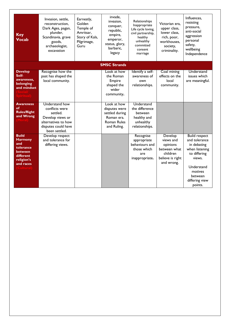| <b>Key</b><br><b>Vocab</b>                                                                            | Invasion, settle,<br>reconstruction,<br>Dark Ages, pagan,<br>plunder,<br>Scandinavia, grave<br>goods,<br>archaeologist,<br>excavation  | Earnestly,<br>Golden<br>Temple of<br>Amritsar,<br>Story of Kals,<br>Pilgrimage,<br>Guru | invade,<br>invasion,<br>conquer,<br>republic,<br>empire,<br>emperor,<br>status, glory,<br>barbaric.<br>legacy | Relationships<br>Inappropriate<br>Life cycle loving,<br>civil partnership,<br>healthy<br>unhealthy<br>committed<br>consent<br>marriage | Victorian era.<br>upper class,<br>lower class,<br>rich, poor,<br>workhouses.<br>society,<br>criminality. | Influences,<br>resisting<br>pressure,<br>anti-social<br>aggression<br>personal<br>safety,<br>wellbeing<br>Independence                                            |
|-------------------------------------------------------------------------------------------------------|----------------------------------------------------------------------------------------------------------------------------------------|-----------------------------------------------------------------------------------------|---------------------------------------------------------------------------------------------------------------|----------------------------------------------------------------------------------------------------------------------------------------|----------------------------------------------------------------------------------------------------------|-------------------------------------------------------------------------------------------------------------------------------------------------------------------|
|                                                                                                       |                                                                                                                                        |                                                                                         | <b>SMSC Strands</b>                                                                                           |                                                                                                                                        |                                                                                                          |                                                                                                                                                                   |
| <b>Develop</b><br>Self-<br>awareness,<br>belonging<br>and mindset<br>piritual)                        | Recognise how the<br>past has shaped the<br>local community.                                                                           |                                                                                         | Look at how<br>the Roman<br>Empire<br>shaped the<br>wider<br>community.                                       | Identify a self-<br>awareness of<br>own<br>relationships.                                                                              | Coal mining<br>effects on the<br>local<br>community.                                                     | Understand<br>issues which<br>are meaningful.                                                                                                                     |
| <b>Awareness</b><br>of<br><b>Rules/Right</b><br>and Wrong                                             | <b>Understand how</b><br>conflicts were<br>settled.<br>Develop views or<br>alternatives to how<br>disputes could have<br>been settled. |                                                                                         | Look at how<br>disputes were<br>settled during<br>Roman era.<br><b>Roman Rules</b><br>and Ruling.             | Understand<br>the difference<br>between<br>healthy and<br>unhealthy<br>relationships.                                                  |                                                                                                          |                                                                                                                                                                   |
| <b>Build</b><br><b>Harmony</b><br>and<br>tolerance<br>between<br>different<br>religion's<br>and races | Develop respect<br>and tolerance for<br>differing views.                                                                               |                                                                                         |                                                                                                               | Recognise<br>appropriate<br>behaviours and<br>those which<br>are<br>inappropriate.                                                     | Develop<br>views and<br>opinions<br>between what<br>children<br>believe is right<br>and wrong.           | <b>Build respect</b><br>and tolerance<br>in debating<br>when listening<br>to differing<br>views.<br>Understand<br>motives<br>between<br>differing view<br>points. |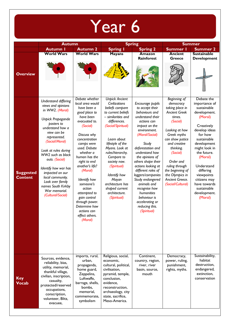| Year 6                             |                                                                                                                                                                                                                                                                                                                                                                                     |                                                                                                                                                                                                                                                                                                                                                                                                              |                                                                                                                                                                                                                                                                                                                                                                  |                                                                                                                                                                                                                                                                                                                                                                                                                                             |                                                                                                                                                                                                                                                                                                        |                                                                                                                                                                                                                                                                                                             |  |  |
|------------------------------------|-------------------------------------------------------------------------------------------------------------------------------------------------------------------------------------------------------------------------------------------------------------------------------------------------------------------------------------------------------------------------------------|--------------------------------------------------------------------------------------------------------------------------------------------------------------------------------------------------------------------------------------------------------------------------------------------------------------------------------------------------------------------------------------------------------------|------------------------------------------------------------------------------------------------------------------------------------------------------------------------------------------------------------------------------------------------------------------------------------------------------------------------------------------------------------------|---------------------------------------------------------------------------------------------------------------------------------------------------------------------------------------------------------------------------------------------------------------------------------------------------------------------------------------------------------------------------------------------------------------------------------------------|--------------------------------------------------------------------------------------------------------------------------------------------------------------------------------------------------------------------------------------------------------------------------------------------------------|-------------------------------------------------------------------------------------------------------------------------------------------------------------------------------------------------------------------------------------------------------------------------------------------------------------|--|--|
|                                    | <b>Autumn</b>                                                                                                                                                                                                                                                                                                                                                                       |                                                                                                                                                                                                                                                                                                                                                                                                              |                                                                                                                                                                                                                                                                                                                                                                  | <b>Spring</b>                                                                                                                                                                                                                                                                                                                                                                                                                               |                                                                                                                                                                                                                                                                                                        | <b>Summer</b>                                                                                                                                                                                                                                                                                               |  |  |
|                                    | <b>Autumn I</b>                                                                                                                                                                                                                                                                                                                                                                     | <b>Autumn 2</b>                                                                                                                                                                                                                                                                                                                                                                                              | <b>Spring I</b>                                                                                                                                                                                                                                                                                                                                                  | <b>Spring 2</b>                                                                                                                                                                                                                                                                                                                                                                                                                             | <b>Summer I</b>                                                                                                                                                                                                                                                                                        | <b>Summer 2</b>                                                                                                                                                                                                                                                                                             |  |  |
| <b>Overview</b>                    | <b>World Wars</b>                                                                                                                                                                                                                                                                                                                                                                   | <b>World Wars</b>                                                                                                                                                                                                                                                                                                                                                                                            | <b>Mayans</b>                                                                                                                                                                                                                                                                                                                                                    | <b>Amazon</b><br>Rainforest                                                                                                                                                                                                                                                                                                                                                                                                                 | <b>Ancient</b><br>Greece                                                                                                                                                                                                                                                                               | <b>Sustainable</b><br><b>Development</b>                                                                                                                                                                                                                                                                    |  |  |
| <b>Suggested</b><br><b>Content</b> | Understand differing<br>views and opinions<br>in WW2. (Moral)<br>Unpick Propaganda<br>posters to<br>understand how a<br>view can be<br>represented.<br>(Social/Moral)<br>Look at rules during<br>WW2 such as black<br>outs. (Social)<br>Identify how war has<br>impacted on our<br>local community.<br>Look over family<br>names South Kirkby<br>War memorial.<br>(Cultural/Social) | Debate whether<br>local area would<br>have been a<br>good place to<br>have been<br>evacuated to.<br>(Social)<br>Discuss why<br>concentration<br>camps were<br>used. Debate<br>whether a<br>human has the<br>right to end<br>another's life?<br>(Moral)<br>Identify how<br>someone's<br>action<br>attempted to<br>gain control<br>through power.<br>Determine how<br>actions can<br>effect others.<br>(Moral) | <b>Unpick Ancient</b><br>Civilizations<br>beliefs compare<br>to current beliefs<br>- similarities and<br>differences.<br>(Social/Spiritual)<br>Learn about<br>lifestyle of the<br>Myans. Look at<br>rules/hierarchy.<br>Compare to<br>society now.<br>(Spiritual)<br>Identify how<br>Mayan<br>architecture has<br>shaped current<br>architecture.<br>(Spiritual) | Encourage pupils<br>to accept their<br>behaviours and<br>understand their<br>actions can<br>impact on the<br>environment.<br>(Moral/Social)<br>Study<br>deforestation and<br>understand how<br>the opinions of<br>others shape their<br>actions looking at<br>different roles of<br>loggers/companies<br>Study endangered<br>animals and<br>recognise how<br>humanities<br>behaviour is<br>accelerating or<br>reducing this.<br>(Spiritual) | Beginning of<br>democracy<br>taking place in<br><b>Ancient Greek</b><br>times.<br>(Social)<br>Looking at how<br>Greek myths<br>can show justice<br>and creative<br>thinking.<br>(Social)<br>Order and<br>ruling through<br>the beginning of<br>the Olympics in<br>Ancient Greece.<br>(Social/Cultural) | Debate the<br>importance of<br>sustainable<br>development.<br>(Moral)<br>Creatively<br>develop ideas<br>for how<br>sustainable<br>development<br>might look in<br>the future.<br>(Moral)<br>Understand<br>differing<br>viewpoints<br>citizens may<br>have towards<br>sustainable<br>development.<br>(Moral) |  |  |
| <b>Key</b><br>Vocab                | Sources, evidence,<br>reliability, bias,<br>utility, memorial,<br>thankful village,<br>civilian, inscription,<br>casualty,<br>protected/reserved<br>occupations,<br>conscription,<br>volunteer, Blitz,<br>evacuee,                                                                                                                                                                  | imports, rural,<br>urban,<br>propaganda,<br>home guard,<br>Zeppelins,<br>Luftwaffe,<br>barrage, shells,<br>bombs,<br>memorial,<br>commemorate,<br>symbolism                                                                                                                                                                                                                                                  | Religious, social,<br>economic,<br>cultural, political,<br>civilisation,<br>pyramid, temple,<br>conclusion,<br>evidence,<br>reconstruction,<br>archaeology, city<br>state, sacrifice,<br>Meso-America.                                                                                                                                                           | Continent,<br>country, region,<br>river, river<br>basin, source,<br>mouth                                                                                                                                                                                                                                                                                                                                                                   | Democracy,<br>power, ruling,<br>punishment,<br>rights, myths.                                                                                                                                                                                                                                          | Sustainability,<br>habitat<br>destruction,<br>endangered,<br>extinction,<br>conservation                                                                                                                                                                                                                    |  |  |